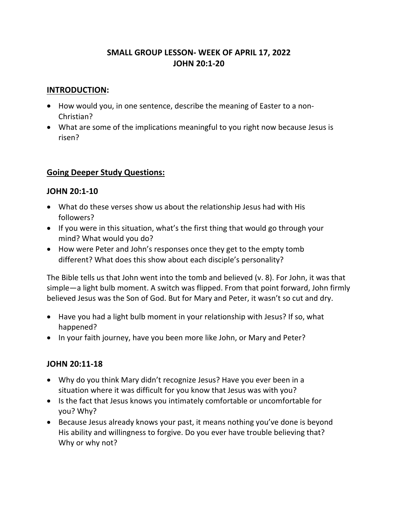# **SMALL GROUP LESSON- WEEK OF APRIL 17, 2022 JOHN 20:1-20**

#### **INTRODUCTION:**

- How would you, in one sentence, describe the meaning of Easter to a non-Christian?
- What are some of the implications meaningful to you right now because Jesus is risen?

### **Going Deeper Study Questions:**

### **JOHN 20:1-10**

- What do these verses show us about the relationship Jesus had with His followers?
- If you were in this situation, what's the first thing that would go through your mind? What would you do?
- How were Peter and John's responses once they get to the empty tomb different? What does this show about each disciple's personality?

The Bible tells us that John went into the tomb and believed (v. 8). For John, it was that simple—a light bulb moment. A switch was flipped. From that point forward, John firmly believed Jesus was the Son of God. But for Mary and Peter, it wasn't so cut and dry.

- Have you had a light bulb moment in your relationship with Jesus? If so, what happened?
- In your faith journey, have you been more like John, or Mary and Peter?

### **JOHN 20:11-18**

- Why do you think Mary didn't recognize Jesus? Have you ever been in a situation where it was difficult for you know that Jesus was with you?
- Is the fact that Jesus knows you intimately comfortable or uncomfortable for you? Why?
- Because Jesus already knows your past, it means nothing you've done is beyond His ability and willingness to forgive. Do you ever have trouble believing that? Why or why not?